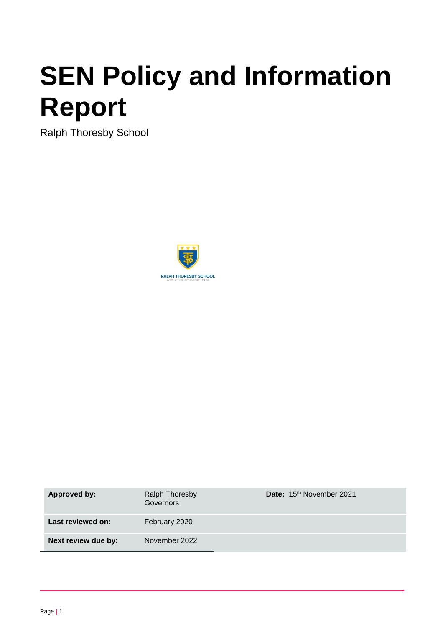# **SEN Policy and Information Report**

Ralph Thoresby School



| Approved by:        | <b>Ralph Thoresby</b><br><b>Governors</b> | Date: 15 <sup>th</sup> November 2021 |
|---------------------|-------------------------------------------|--------------------------------------|
| Last reviewed on:   | February 2020                             |                                      |
| Next review due by: | November 2022                             |                                      |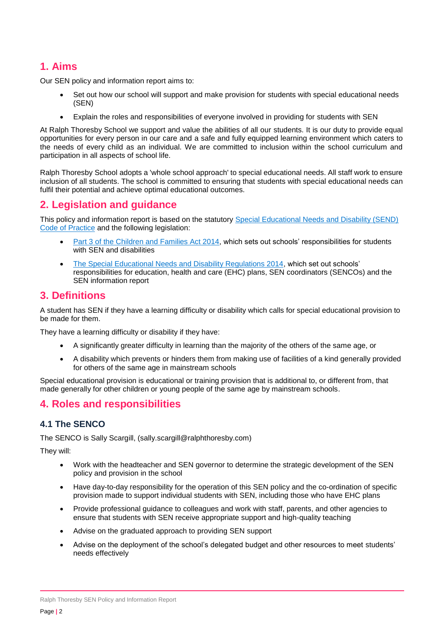# **1. Aims**

Our SEN policy and information report aims to:

- Set out how our school will support and make provision for students with special educational needs (SEN)
- Explain the roles and responsibilities of everyone involved in providing for students with SEN

At Ralph Thoresby School we support and value the abilities of all our students. It is our duty to provide equal opportunities for every person in our care and a safe and fully equipped learning environment which caters to the needs of every child as an individual. We are committed to inclusion within the school curriculum and participation in all aspects of school life.

Ralph Thoresby School adopts a 'whole school approach' to special educational needs. All staff work to ensure inclusion of all students. The school is committed to ensuring that students with special educational needs can fulfil their potential and achieve optimal educational outcomes.

# **2. Legislation and guidance**

This policy and information report is based on the statutory [Special Educational Needs and Disability \(SEND\)](https://www.gov.uk/government/uploads/system/uploads/attachment_data/file/398815/SEND_Code_of_Practice_January_2015.pdf)  [Code of Practice](https://www.gov.uk/government/uploads/system/uploads/attachment_data/file/398815/SEND_Code_of_Practice_January_2015.pdf) and the following legislation:

- [Part 3 of the Children and Families Act 2014,](http://www.legislation.gov.uk/ukpga/2014/6/part/3) which sets out schools' responsibilities for students with SEN and disabilities
- [The Special Educational Needs and Disability Regulations 2014,](http://www.legislation.gov.uk/uksi/2014/1530/contents/made) which set out schools' responsibilities for education, health and care (EHC) plans, SEN coordinators (SENCOs) and the SEN information report

# **3. Definitions**

A student has SEN if they have a learning difficulty or disability which calls for special educational provision to be made for them.

They have a learning difficulty or disability if they have:

- A significantly greater difficulty in learning than the majority of the others of the same age, or
- A disability which prevents or hinders them from making use of facilities of a kind generally provided for others of the same age in mainstream schools

Special educational provision is educational or training provision that is additional to, or different from, that made generally for other children or young people of the same age by mainstream schools.

# **4. Roles and responsibilities**

# **4.1 The SENCO**

The SENCO is Sally Scargill, (sally.scargill@ralphthoresby.com)

They will:

- Work with the headteacher and SEN governor to determine the strategic development of the SEN policy and provision in the school
- Have day-to-day responsibility for the operation of this SEN policy and the co-ordination of specific provision made to support individual students with SEN, including those who have EHC plans
- Provide professional guidance to colleagues and work with staff, parents, and other agencies to ensure that students with SEN receive appropriate support and high-quality teaching
- Advise on the graduated approach to providing SEN support
- Advise on the deployment of the school's delegated budget and other resources to meet students' needs effectively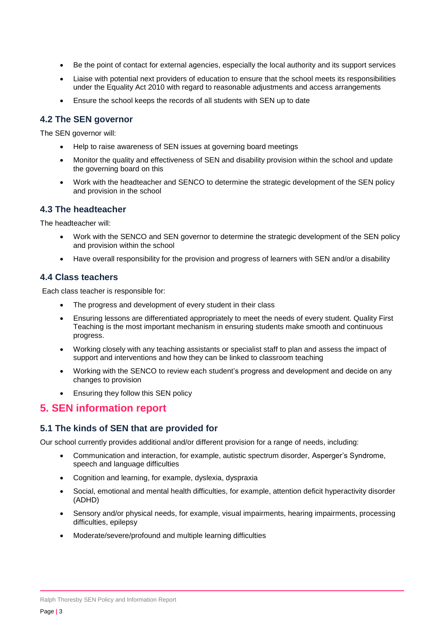- Be the point of contact for external agencies, especially the local authority and its support services
- Liaise with potential next providers of education to ensure that the school meets its responsibilities under the Equality Act 2010 with regard to reasonable adjustments and access arrangements
- Ensure the school keeps the records of all students with SEN up to date

#### **4.2 The SEN governor**

The SEN governor will:

- Help to raise awareness of SEN issues at governing board meetings
- Monitor the quality and effectiveness of SEN and disability provision within the school and update the governing board on this
- Work with the headteacher and SENCO to determine the strategic development of the SEN policy and provision in the school

#### **4.3 The headteacher**

The headteacher will:

- Work with the SENCO and SEN governor to determine the strategic development of the SEN policy and provision within the school
- Have overall responsibility for the provision and progress of learners with SEN and/or a disability

#### **4.4 Class teachers**

Each class teacher is responsible for:

- The progress and development of every student in their class
- Ensuring lessons are differentiated appropriately to meet the needs of every student. Quality First Teaching is the most important mechanism in ensuring students make smooth and continuous progress.
- Working closely with any teaching assistants or specialist staff to plan and assess the impact of support and interventions and how they can be linked to classroom teaching
- Working with the SENCO to review each student's progress and development and decide on any changes to provision
- Ensuring they follow this SEN policy

# **5. SEN information report**

#### **5.1 The kinds of SEN that are provided for**

Our school currently provides additional and/or different provision for a range of needs, including:

- Communication and interaction, for example, autistic spectrum disorder, Asperger's Syndrome, speech and language difficulties
- Cognition and learning, for example, dyslexia, dyspraxia
- Social, emotional and mental health difficulties, for example, attention deficit hyperactivity disorder (ADHD)
- Sensory and/or physical needs, for example, visual impairments, hearing impairments, processing difficulties, epilepsy
- Moderate/severe/profound and multiple learning difficulties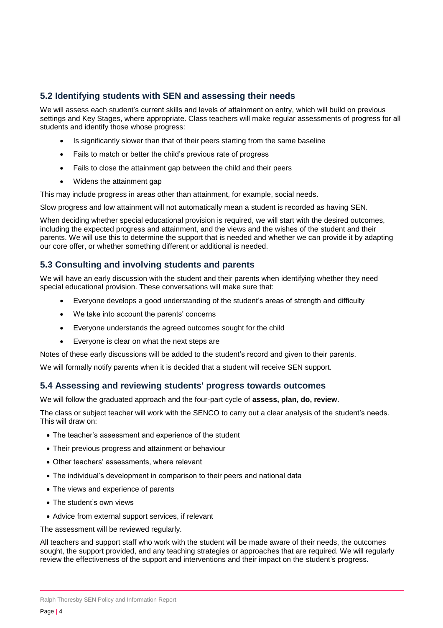#### **5.2 Identifying students with SEN and assessing their needs**

We will assess each student's current skills and levels of attainment on entry, which will build on previous settings and Key Stages, where appropriate. Class teachers will make regular assessments of progress for all students and identify those whose progress:

- Is significantly slower than that of their peers starting from the same baseline
- Fails to match or better the child's previous rate of progress
- Fails to close the attainment gap between the child and their peers
- Widens the attainment gap

This may include progress in areas other than attainment, for example, social needs.

Slow progress and low attainment will not automatically mean a student is recorded as having SEN.

When deciding whether special educational provision is required, we will start with the desired outcomes, including the expected progress and attainment, and the views and the wishes of the student and their parents. We will use this to determine the support that is needed and whether we can provide it by adapting our core offer, or whether something different or additional is needed.

# **5.3 Consulting and involving students and parents**

We will have an early discussion with the student and their parents when identifying whether they need special educational provision. These conversations will make sure that:

- Everyone develops a good understanding of the student's areas of strength and difficulty
- We take into account the parents' concerns
- Everyone understands the agreed outcomes sought for the child
- Everyone is clear on what the next steps are

Notes of these early discussions will be added to the student's record and given to their parents.

We will formally notify parents when it is decided that a student will receive SEN support.

#### **5.4 Assessing and reviewing students' progress towards outcomes**

We will follow the graduated approach and the four-part cycle of **assess, plan, do, review**.

The class or subject teacher will work with the SENCO to carry out a clear analysis of the student's needs. This will draw on:

- The teacher's assessment and experience of the student
- Their previous progress and attainment or behaviour
- Other teachers' assessments, where relevant
- The individual's development in comparison to their peers and national data
- The views and experience of parents
- The student's own views
- Advice from external support services, if relevant

The assessment will be reviewed regularly.

All teachers and support staff who work with the student will be made aware of their needs, the outcomes sought, the support provided, and any teaching strategies or approaches that are required. We will reqularly review the effectiveness of the support and interventions and their impact on the student's progress.

Ralph Thoresby SEN Policy and Information Report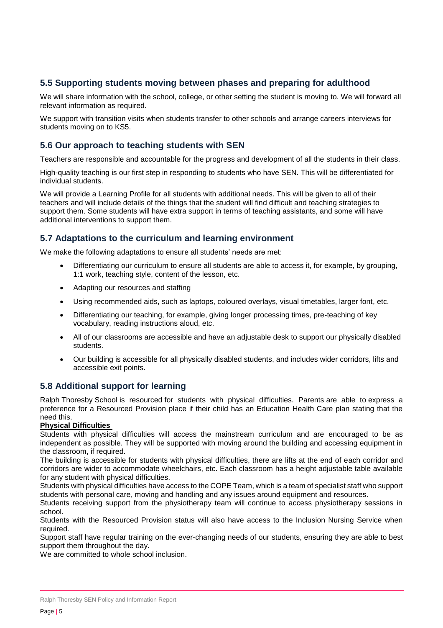# **5.5 Supporting students moving between phases and preparing for adulthood**

We will share information with the school, college, or other setting the student is moving to. We will forward all relevant information as required.

We support with transition visits when students transfer to other schools and arrange careers interviews for students moving on to KS5.

#### **5.6 Our approach to teaching students with SEN**

Teachers are responsible and accountable for the progress and development of all the students in their class.

High-quality teaching is our first step in responding to students who have SEN. This will be differentiated for individual students.

We will provide a Learning Profile for all students with additional needs. This will be given to all of their teachers and will include details of the things that the student will find difficult and teaching strategies to support them. Some students will have extra support in terms of teaching assistants, and some will have additional interventions to support them.

# **5.7 Adaptations to the curriculum and learning environment**

We make the following adaptations to ensure all students' needs are met:

- Differentiating our curriculum to ensure all students are able to access it, for example, by grouping, 1:1 work, teaching style, content of the lesson, etc.
- Adapting our resources and staffing
- Using recommended aids, such as laptops, coloured overlays, visual timetables, larger font, etc.
- Differentiating our teaching, for example, giving longer processing times, pre-teaching of key vocabulary, reading instructions aloud, etc.
- All of our classrooms are accessible and have an adjustable desk to support our physically disabled students.
- Our building is accessible for all physically disabled students, and includes wider corridors, lifts and accessible exit points.

# **5.8 Additional support for learning**

Ralph Thoresby School is resourced for students with physical difficulties. Parents are able to express a preference for a Resourced Provision place if their child has an Education Health Care plan stating that the need this.

#### **Physical Difficulties**

Students with physical difficulties will access the mainstream curriculum and are encouraged to be as independent as possible. They will be supported with moving around the building and accessing equipment in the classroom, if required.

The building is accessible for students with physical difficulties, there are lifts at the end of each corridor and corridors are wider to accommodate wheelchairs, etc. Each classroom has a height adjustable table available for any student with physical difficulties.

Students with physical difficulties have access to the COPE Team, which is a team of specialist staff who support students with personal care, moving and handling and any issues around equipment and resources.

Students receiving support from the physiotherapy team will continue to access physiotherapy sessions in school.

Students with the Resourced Provision status will also have access to the Inclusion Nursing Service when required.

Support staff have regular training on the ever-changing needs of our students, ensuring they are able to best support them throughout the day.

We are committed to whole school inclusion.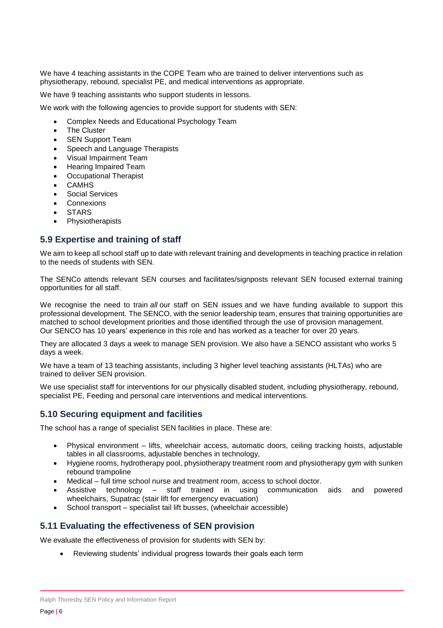We have 4 teaching assistants in the COPE Team who are trained to deliver interventions such as physiotherapy, rebound, specialist PE, and medical interventions as appropriate.

We have 9 teaching assistants who support students in lessons.

We work with the following agencies to provide support for students with SEN:

- Complex Needs and Educational Psychology Team
- The Cluster
- SEN Support Team
- Speech and Language Therapists
- Visual Impairment Team
- Hearing Impaired Team
- Occupational Therapist
- **CAMHS**
- Social Services
- **Connexions**
- **STARS**
- Physiotherapists

#### **5.9 Expertise and training of staff**

We aim to keep all school staff up to date with relevant training and developments in teaching practice in relation to the needs of students with SEN.

The SENCo attends relevant SEN courses and facilitates/signposts relevant SEN focused external training opportunities for all staff.

We recognise the need to train *all* our staff on SEN issues and we have funding available to support this professional development. The SENCO, with the senior leadership team, ensures that training opportunities are matched to school development priorities and those identified through the use of provision management. Our SENCO has 10 years' experience in this role and has worked as a teacher for over 20 years.

They are allocated 3 days a week to manage SEN provision. We also have a SENCO assistant who works 5 days a week.

We have a team of 13 teaching assistants, including 3 higher level teaching assistants (HLTAs) who are trained to deliver SEN provision.

We use specialist staff for interventions for our physically disabled student, including physiotherapy, rebound, specialist PE, Feeding and personal care interventions and medical interventions.

# **5.10 Securing equipment and facilities**

The school has a range of specialist SEN facilities in place. These are:

- Physical environment lifts, wheelchair access, automatic doors, ceiling tracking hoists, adjustable tables in all classrooms, adjustable benches in technology,
- Hygiene rooms, hydrotherapy pool, physiotherapy treatment room and physiotherapy gym with sunken rebound trampoline
- Medical full time school nurse and treatment room, access to school doctor.
- Assistive technology staff trained in using communication aids and powered wheelchairs, Supatrac (stair lift for emergency evacuation)
- School transport specialist tail lift busses, (wheelchair accessible)

# **5.11 Evaluating the effectiveness of SEN provision**

We evaluate the effectiveness of provision for students with SEN by:

Reviewing students' individual progress towards their goals each term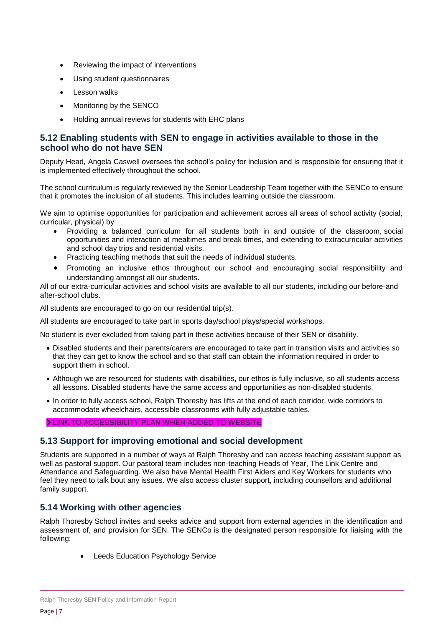- Reviewing the impact of interventions
- Using student questionnaires
- Lesson walks
- Monitoring by the SENCO
- Holding annual reviews for students with EHC plans

# **5.12 Enabling students with SEN to engage in activities available to those in the school who do not have SEN**

Deputy Head, Angela Caswell oversees the school's policy for inclusion and is responsible for ensuring that it is implemented effectively throughout the school.

The school curriculum is regularly reviewed by the Senior Leadership Team together with the SENCo to ensure that it promotes the inclusion of all students. This includes learning outside the classroom.

We aim to optimise opportunities for participation and achievement across all areas of school activity (social, curricular, physical) by:

- Providing a balanced curriculum for all students both in and outside of the classroom, social opportunities and interaction at mealtimes and break times, and extending to extracurricular activities and school day trips and residential visits.
- Practicing teaching methods that suit the needs of individual students.
- Promoting an inclusive ethos throughout our school and encouraging social responsibility and understanding amongst all our students.

All of our extra-curricular activities and school visits are available to all our students, including our before-and after-school clubs.

All students are encouraged to go on our residential trip(s).

All students are encouraged to take part in sports day/school plays/special workshops.

No student is ever excluded from taking part in these activities because of their SEN or disability.

- Disabled students and their parents/carers are encouraged to take part in transition visits and activities so that they can get to know the school and so that staff can obtain the information required in order to support them in school.
- Although we are resourced for students with disabilities, our ethos is fully inclusive, so all students access all lessons. Disabled students have the same access and opportunities as non-disabled students.
- In order to fully access school, Ralph Thoresby has lifts at the end of each corridor, wide corridors to accommodate wheelchairs, accessible classrooms with fully adjustable tables.

#### LINK TO ACCESSIBILITY PLAN WHEN ADDED TO WEBSITE

#### **5.13 Support for improving emotional and social development**

Students are supported in a number of ways at Ralph Thoresby and can access teaching assistant support as well as pastoral support. Our pastoral team includes non-teaching Heads of Year, The Link Centre and Attendance and Safeguarding. We also have Mental Health First Aiders and Key Workers for students who feel they need to talk bout any issues. We also access cluster support, including counsellors and additional family support.

#### **5.14 Working with other agencies**

Ralph Thoresby School invites and seeks advice and support from external agencies in the identification and assessment of, and provision for SEN. The SENCo is the designated person responsible for liaising with the following:

Leeds Education Psychology Service